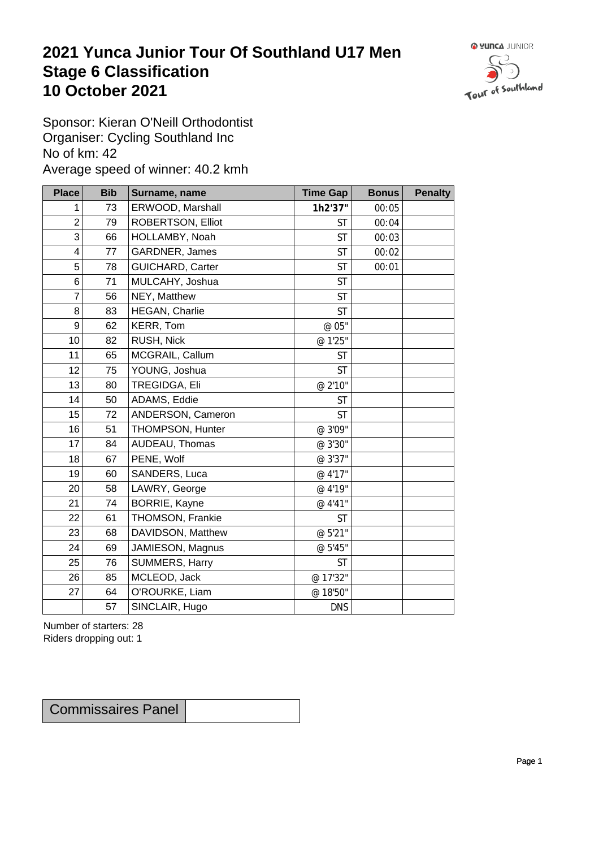## **2021 Yunca Junior Tour Of Southland U17 Men** Stage 6 Classification<br>10 October 2021 **10 October 2021**



Sponsor: Kieran O'Neill Orthodontist Organiser: Cycling Southland Inc No of km: 42 Average speed of winner: 40.2 kmh

| <b>Place</b>     | <b>Bib</b> | Surname, name     | <b>Time Gap</b> | <b>Bonus</b> | <b>Penalty</b> |
|------------------|------------|-------------------|-----------------|--------------|----------------|
| 1                | 73         | ERWOOD, Marshall  | 1h2'37"         | 00:05        |                |
| $\boldsymbol{2}$ | 79         | ROBERTSON, Elliot | <b>ST</b>       | 00:04        |                |
| $\mathfrak{S}$   | 66         | HOLLAMBY, Noah    | <b>ST</b>       | 00:03        |                |
| 4                | 77         | GARDNER, James    | <b>ST</b>       | 00:02        |                |
| 5                | 78         | GUICHARD, Carter  | <b>ST</b>       | 00:01        |                |
| $\,6$            | 71         | MULCAHY, Joshua   | <b>ST</b>       |              |                |
| $\overline{7}$   | 56         | NEY, Matthew      | <b>ST</b>       |              |                |
| $\,8\,$          | 83         | HEGAN, Charlie    | <b>ST</b>       |              |                |
| $\boldsymbol{9}$ | 62         | KERR, Tom         | @ 05"           |              |                |
| 10               | 82         | RUSH, Nick        | @ 1'25"         |              |                |
| 11               | 65         | MCGRAIL, Callum   | <b>ST</b>       |              |                |
| 12               | 75         | YOUNG, Joshua     | <b>ST</b>       |              |                |
| 13               | 80         | TREGIDGA, Eli     | @ 2'10"         |              |                |
| 14               | 50         | ADAMS, Eddie      | <b>ST</b>       |              |                |
| 15               | 72         | ANDERSON, Cameron | <b>ST</b>       |              |                |
| 16               | 51         | THOMPSON, Hunter  | @ 3'09"         |              |                |
| 17               | 84         | AUDEAU, Thomas    | @ 3'30"         |              |                |
| 18               | 67         | PENE, Wolf        | @ 3'37"         |              |                |
| 19               | 60         | SANDERS, Luca     | @ 4'17"         |              |                |
| 20               | 58         | LAWRY, George     | @ 4'19"         |              |                |
| 21               | 74         | BORRIE, Kayne     | @ 4'41"         |              |                |
| 22               | 61         | THOMSON, Frankie  | <b>ST</b>       |              |                |
| 23               | 68         | DAVIDSON, Matthew | @ 5'21"         |              |                |
| 24               | 69         | JAMIESON, Magnus  | @ 5'45"         |              |                |
| 25               | 76         | SUMMERS, Harry    | <b>ST</b>       |              |                |
| 26               | 85         | MCLEOD, Jack      | @ 17'32"        |              |                |
| 27               | 64         | O'ROURKE, Liam    | @ 18'50"        |              |                |
|                  | 57         | SINCLAIR, Hugo    | <b>DNS</b>      |              |                |

Number of starters: 28 Riders dropping out: 1

| <b>Commissaires Panel</b> |  |
|---------------------------|--|
|---------------------------|--|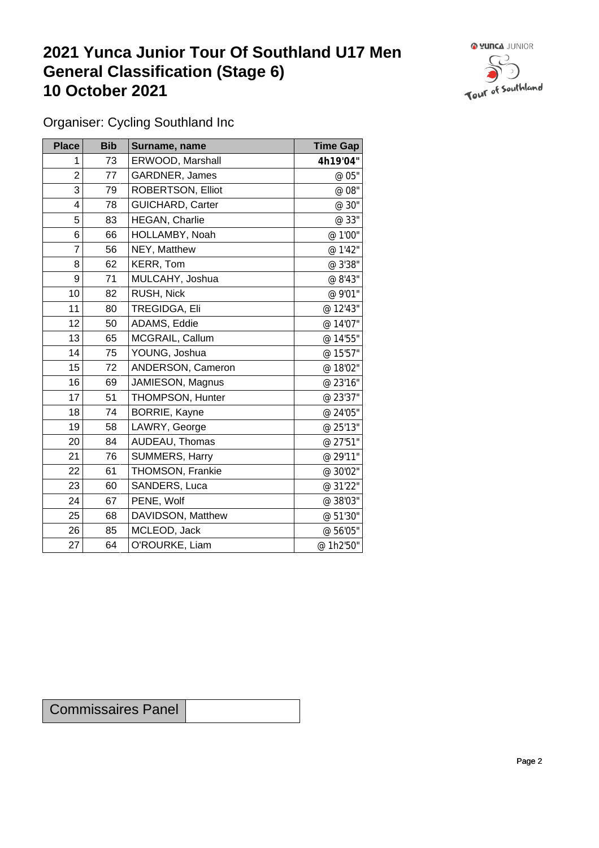## **2021 Yunca Junior Tour Of Southland U17 Men General Classification (Stage 6)**<br>10 October 2021 **10 October 2021**



Organiser: Cycling Southland Inc

| <b>Place</b>            | <b>Bib</b> | Surname, name           | <b>Time Gap</b> |
|-------------------------|------------|-------------------------|-----------------|
| 1                       | 73         | ERWOOD, Marshall        | 4h19'04"        |
| $\overline{2}$          | 77         | GARDNER, James          | @ 05"           |
| 3                       | 79         | ROBERTSON, Elliot       | @ 08"           |
| $\overline{\mathbf{4}}$ | 78         | <b>GUICHARD, Carter</b> | @ 30"           |
| 5                       | 83         | HEGAN, Charlie          | @ 33"           |
| 6                       | 66         | HOLLAMBY, Noah          | @ 1'00"         |
| $\overline{7}$          | 56         | NEY, Matthew            | @ 1'42"         |
| 8                       | 62         | KERR, Tom               | @ 3'38"         |
| 9                       | 71         | MULCAHY, Joshua         | @ 8'43"         |
| 10                      | 82         | RUSH, Nick              | @ 9'01"         |
| 11                      | 80         | TREGIDGA, Eli           | @ 12'43"        |
| 12                      | 50         | ADAMS, Eddie            | @ 14'07"        |
| 13                      | 65         | MCGRAIL, Callum         | @ 14'55"        |
| 14                      | 75         | YOUNG, Joshua           | @ 15'57"        |
| 15                      | 72         | ANDERSON, Cameron       | @ 18'02"        |
| 16                      | 69         | JAMIESON, Magnus        | @ 23'16"        |
| 17                      | 51         | THOMPSON, Hunter        | @ 23'37"        |
| 18                      | 74         | BORRIE, Kayne           | @ 24'05"        |
| 19                      | 58         | LAWRY, George           | @ 25'13"        |
| 20                      | 84         | AUDEAU, Thomas          | @ 27'51"        |
| 21                      | 76         | SUMMERS, Harry          | @ 29'11"        |
| 22                      | 61         | THOMSON, Frankie        | @ 30'02"        |
| 23                      | 60         | SANDERS, Luca           | @ 31'22"        |
| 24                      | 67         | PENE, Wolf              | @ 38'03"        |
| 25                      | 68         | DAVIDSON, Matthew       | @ 51'30"        |
| 26                      | 85         | MCLEOD, Jack            | @ 56'05"        |
| 27                      | 64         | O'ROURKE, Liam          | @ 1h2'50"       |

Commissaires Panel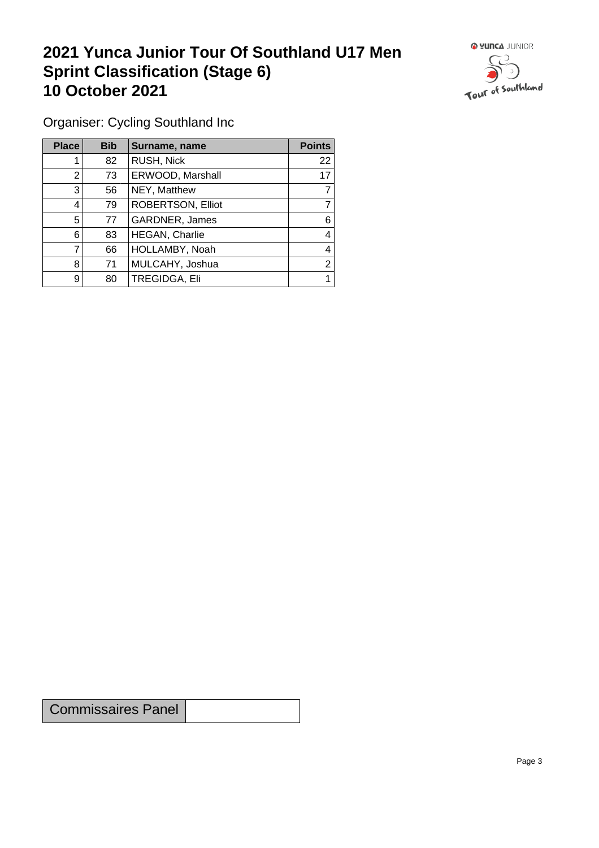## **2021 Yunca Junior Tour Of Southland U17 Men Sprint Classification (Stage 6) 10 October 2021 10 October 2021**



Organiser: Cycling Southland Inc

| <b>Place</b>   | <b>Bib</b> | Surname, name         | <b>Points</b> |
|----------------|------------|-----------------------|---------------|
|                | 82         | RUSH, Nick            | 22            |
| 2              | 73         | ERWOOD, Marshall      | 17            |
| 3              | 56         | NEY, Matthew          |               |
| $\overline{4}$ | 79         | ROBERTSON, Elliot     |               |
| 5              | 77         | GARDNER, James        | 6             |
| 6              | 83         | <b>HEGAN, Charlie</b> | 4             |
|                | 66         | HOLLAMBY, Noah        | 4             |
| 8              | 71         | MULCAHY, Joshua       | 2             |
| 9              | 80         | <b>TREGIDGA, Eli</b>  |               |

Commissaires Panel